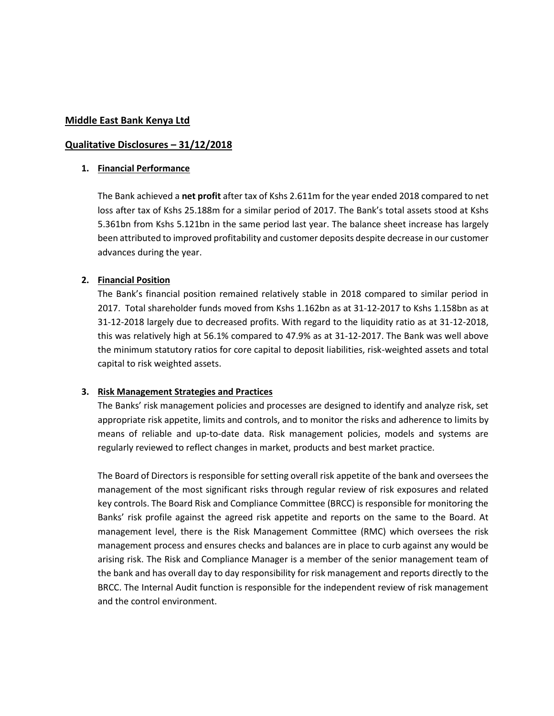### **Middle East Bank Kenya Ltd**

### **Qualitative Disclosures – 31/12/2018**

#### **1. Financial Performance**

The Bank achieved a **net profit** after tax of Kshs 2.611m for the year ended 2018 compared to net loss after tax of Kshs 25.188m for a similar period of 2017. The Bank's total assets stood at Kshs 5.361bn from Kshs 5.121bn in the same period last year. The balance sheet increase has largely been attributed to improved profitability and customer deposits despite decrease in our customer advances during the year.

## **2. Financial Position**

The Bank's financial position remained relatively stable in 2018 compared to similar period in 2017. Total shareholder funds moved from Kshs 1.162bn as at 31-12-2017 to Kshs 1.158bn as at 31-12-2018 largely due to decreased profits. With regard to the liquidity ratio as at 31-12-2018, this was relatively high at 56.1% compared to 47.9% as at 31-12-2017. The Bank was well above the minimum statutory ratios for core capital to deposit liabilities, risk-weighted assets and total capital to risk weighted assets.

#### **3. Risk Management Strategies and Practices**

The Banks' risk management policies and processes are designed to identify and analyze risk, set appropriate risk appetite, limits and controls, and to monitor the risks and adherence to limits by means of reliable and up-to-date data. Risk management policies, models and systems are regularly reviewed to reflect changes in market, products and best market practice.

The Board of Directors is responsible for setting overall risk appetite of the bank and oversees the management of the most significant risks through regular review of risk exposures and related key controls. The Board Risk and Compliance Committee (BRCC) is responsible for monitoring the Banks' risk profile against the agreed risk appetite and reports on the same to the Board. At management level, there is the Risk Management Committee (RMC) which oversees the risk management process and ensures checks and balances are in place to curb against any would be arising risk. The Risk and Compliance Manager is a member of the senior management team of the bank and has overall day to day responsibility for risk management and reports directly to the BRCC. The Internal Audit function is responsible for the independent review of risk management and the control environment.